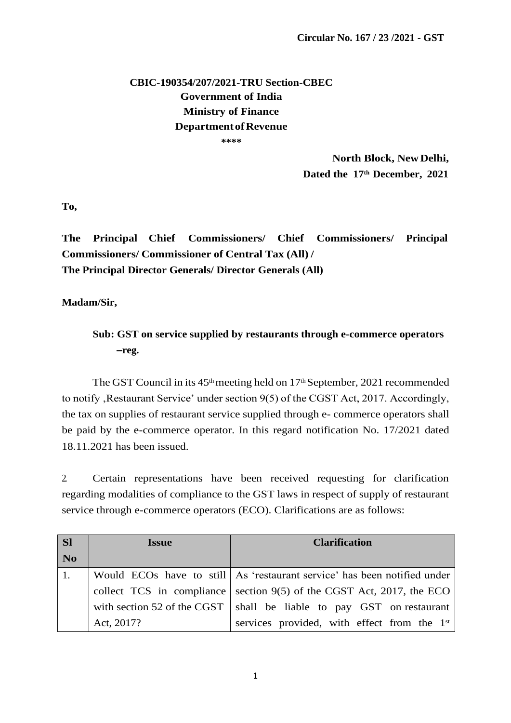## **CBIC-190354/207/2021-TRU Section-CBEC Government of India Ministry of Finance DepartmentofRevenue \*\*\*\***

**North Block, NewDelhi, Dated the 17th December, 2021**

**To,**

**The Principal Chief Commissioners/ Chief Commissioners/ Principal Commissioners/ Commissioner of Central Tax (All) / The Principal Director Generals/ Director Generals (All)** 

**Madam/Sir,**

**Sub: GST on service supplied by restaurants through e-commerce operators –reg.**

The GST Council in its  $45<sup>th</sup>$  meeting held on  $17<sup>th</sup>$  September, 2021 recommended to notify, Restaurant Service' under section 9(5) of the CGST Act, 2017. Accordingly, the tax on supplies of restaurant service supplied through e- commerce operators shall be paid by the e-commerce operator. In this regard notification No. 17/2021 dated 18.11.2021 has been issued.

2. Certain representations have been received requesting for clarification regarding modalities of compliance to the GST laws in respect of supply of restaurant service through e-commerce operators (ECO). Clarifications are as follows:

| <b>Sl</b>      | <b>Issue</b> | <b>Clarification</b>                                                       |
|----------------|--------------|----------------------------------------------------------------------------|
| N <sub>o</sub> |              |                                                                            |
|                |              | Would ECOs have to still   As 'restaurant service' has been notified under |
|                |              | collect TCS in compliance section $9(5)$ of the CGST Act, 2017, the ECO    |
|                |              | with section 52 of the CGST   shall be liable to pay GST on restaurant     |
|                | Act, 2017?   | services provided, with effect from the 1 <sup>st</sup>                    |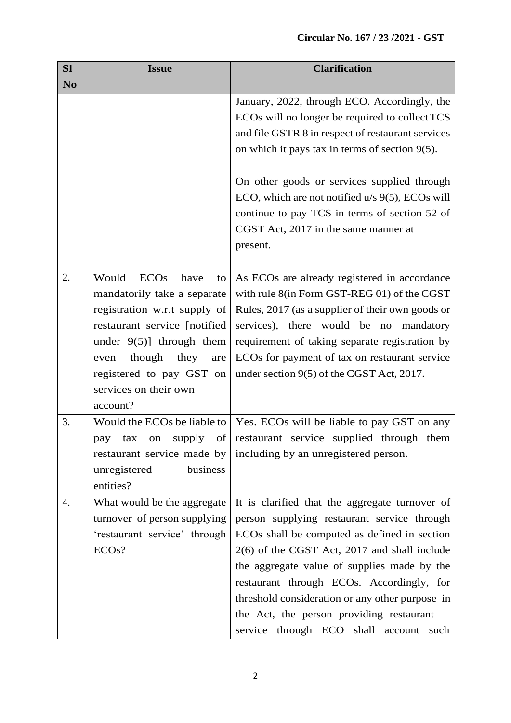| <b>SI</b>      | <b>Issue</b>                                                                                                                                                                                                                                                        | <b>Clarification</b>                                                                                                                                                                                                                                                                                                                                                                                                                  |
|----------------|---------------------------------------------------------------------------------------------------------------------------------------------------------------------------------------------------------------------------------------------------------------------|---------------------------------------------------------------------------------------------------------------------------------------------------------------------------------------------------------------------------------------------------------------------------------------------------------------------------------------------------------------------------------------------------------------------------------------|
| N <sub>o</sub> |                                                                                                                                                                                                                                                                     |                                                                                                                                                                                                                                                                                                                                                                                                                                       |
|                |                                                                                                                                                                                                                                                                     | January, 2022, through ECO. Accordingly, the<br>ECOs will no longer be required to collect TCS<br>and file GSTR 8 in respect of restaurant services<br>on which it pays tax in terms of section $9(5)$ .<br>On other goods or services supplied through<br>ECO, which are not notified u/s 9(5), ECOs will                                                                                                                            |
|                |                                                                                                                                                                                                                                                                     | continue to pay TCS in terms of section 52 of<br>CGST Act, 2017 in the same manner at<br>present.                                                                                                                                                                                                                                                                                                                                     |
| 2.             | Would<br><b>ECOs</b><br>have<br>to<br>mandatorily take a separate<br>registration w.r.t supply of<br>restaurant service [notified]<br>under $9(5)$ ] through them<br>though<br>they<br>even<br>are<br>registered to pay GST on<br>services on their own<br>account? | As ECOs are already registered in accordance<br>with rule 8(in Form GST-REG 01) of the CGST<br>Rules, 2017 (as a supplier of their own goods or<br>services), there would be no<br>mandatory<br>requirement of taking separate registration by<br>ECOs for payment of tax on restaurant service<br>under section 9(5) of the CGST Act, 2017.                                                                                          |
| 3.             | Would the ECOs be liable to<br>supply<br>of<br>tax<br>pay<br>on<br>business<br>unregistered<br>entities?                                                                                                                                                            | Yes. ECOs will be liable to pay GST on any<br>restaurant service supplied through them<br>restaurant service made by including by an unregistered person.                                                                                                                                                                                                                                                                             |
| 4.             | What would be the aggregate<br>turnover of person supplying<br>'restaurant service' through<br>ECO <sub>s</sub> ?                                                                                                                                                   | It is clarified that the aggregate turnover of<br>person supplying restaurant service through<br>ECOs shall be computed as defined in section<br>2(6) of the CGST Act, 2017 and shall include<br>the aggregate value of supplies made by the<br>restaurant through ECOs. Accordingly, for<br>threshold consideration or any other purpose in<br>the Act, the person providing restaurant<br>service through ECO shall account<br>such |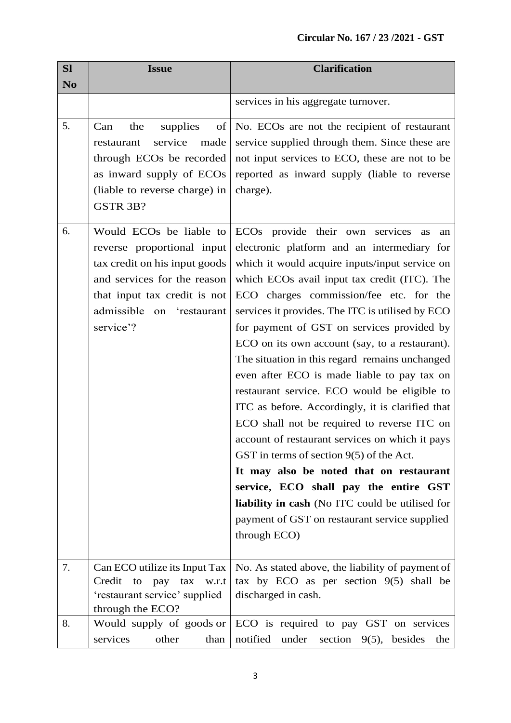| <b>Sl</b>      | <b>Issue</b>                                                                                                                                                                                                | <b>Clarification</b>                                                                                                                                                                                                                                                                                                                                                                                                                                                                                                                                                                                                                                                                                                                                                                                                                                                                                                                                                    |
|----------------|-------------------------------------------------------------------------------------------------------------------------------------------------------------------------------------------------------------|-------------------------------------------------------------------------------------------------------------------------------------------------------------------------------------------------------------------------------------------------------------------------------------------------------------------------------------------------------------------------------------------------------------------------------------------------------------------------------------------------------------------------------------------------------------------------------------------------------------------------------------------------------------------------------------------------------------------------------------------------------------------------------------------------------------------------------------------------------------------------------------------------------------------------------------------------------------------------|
| N <sub>o</sub> |                                                                                                                                                                                                             |                                                                                                                                                                                                                                                                                                                                                                                                                                                                                                                                                                                                                                                                                                                                                                                                                                                                                                                                                                         |
|                |                                                                                                                                                                                                             | services in his aggregate turnover.                                                                                                                                                                                                                                                                                                                                                                                                                                                                                                                                                                                                                                                                                                                                                                                                                                                                                                                                     |
| 5.             | supplies<br>of<br>Can<br>the<br>service<br>made<br>restaurant<br>through ECO <sub>s</sub> be recorded<br>as inward supply of ECOs<br>(liable to reverse charge) in<br>GSTR 3B?                              | No. ECOs are not the recipient of restaurant<br>service supplied through them. Since these are<br>not input services to ECO, these are not to be<br>reported as inward supply (liable to reverse<br>charge).                                                                                                                                                                                                                                                                                                                                                                                                                                                                                                                                                                                                                                                                                                                                                            |
| 6.             | Would ECO <sub>s</sub> be liable to<br>reverse proportional input<br>tax credit on his input goods<br>and services for the reason<br>that input tax credit is not<br>admissible on 'restaurant<br>service'? | ECO <sub>s</sub> provide their own<br>services<br>as<br>an<br>electronic platform and an intermediary for<br>which it would acquire inputs/input service on<br>which ECOs avail input tax credit (ITC). The<br>ECO charges commission/fee etc. for the<br>services it provides. The ITC is utilised by ECO<br>for payment of GST on services provided by<br>ECO on its own account (say, to a restaurant).<br>The situation in this regard remains unchanged<br>even after ECO is made liable to pay tax on<br>restaurant service. ECO would be eligible to<br>ITC as before. Accordingly, it is clarified that<br>ECO shall not be required to reverse ITC on<br>account of restaurant services on which it pays<br>GST in terms of section $9(5)$ of the Act.<br>It may also be noted that on restaurant<br>service, ECO shall pay the entire GST<br>liability in cash (No ITC could be utilised for<br>payment of GST on restaurant service supplied<br>through ECO) |
| 7.             | Can ECO utilize its Input Tax<br>Credit to pay tax w.r.t<br>'restaurant service' supplied<br>through the ECO?                                                                                               | No. As stated above, the liability of payment of<br>tax by ECO as per section $9(5)$ shall be<br>discharged in cash.                                                                                                                                                                                                                                                                                                                                                                                                                                                                                                                                                                                                                                                                                                                                                                                                                                                    |
| 8.             | Would supply of goods or<br>other<br>services<br>than                                                                                                                                                       | ECO is required to pay GST on services<br>notified<br>under<br>section $9(5)$ , besides<br>the                                                                                                                                                                                                                                                                                                                                                                                                                                                                                                                                                                                                                                                                                                                                                                                                                                                                          |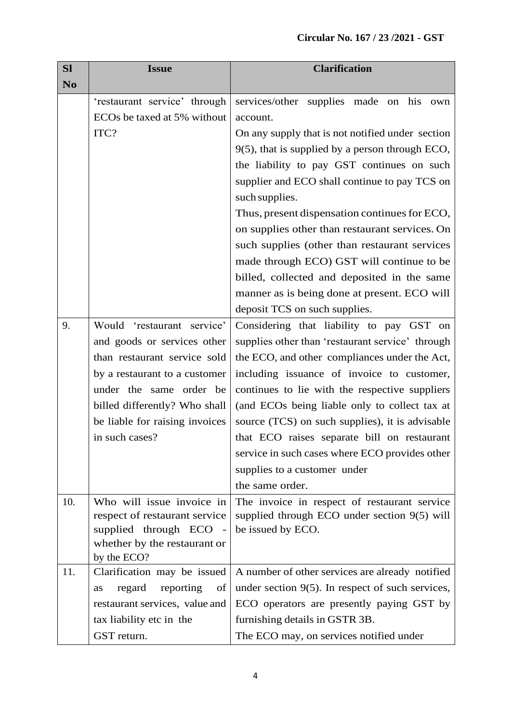| <b>Sl</b>      | <b>Issue</b>                                            | <b>Clarification</b>                                |
|----------------|---------------------------------------------------------|-----------------------------------------------------|
| N <sub>o</sub> |                                                         |                                                     |
|                | 'restaurant service' through                            | services/other supplies made<br>on his<br>own       |
|                | ECOs be taxed at 5% without                             | account.                                            |
|                | ITC?                                                    | On any supply that is not notified under section    |
|                |                                                         | $9(5)$ , that is supplied by a person through ECO,  |
|                |                                                         | the liability to pay GST continues on such          |
|                |                                                         | supplier and ECO shall continue to pay TCS on       |
|                |                                                         | such supplies.                                      |
|                |                                                         | Thus, present dispensation continues for ECO,       |
|                |                                                         | on supplies other than restaurant services. On      |
|                |                                                         | such supplies (other than restaurant services       |
|                |                                                         | made through ECO) GST will continue to be           |
|                |                                                         | billed, collected and deposited in the same         |
|                |                                                         | manner as is being done at present. ECO will        |
|                |                                                         | deposit TCS on such supplies.                       |
| 9.             | Would 'restaurant service'                              | Considering that liability to pay GST on            |
|                | and goods or services other                             | supplies other than 'restaurant service' through    |
|                | than restaurant service sold                            | the ECO, and other compliances under the Act,       |
|                | by a restaurant to a customer                           | including issuance of invoice to customer,          |
|                | under the same order be                                 | continues to lie with the respective suppliers      |
|                | billed differently? Who shall                           | (and ECOs being liable only to collect tax at       |
|                | be liable for raising invoices                          | source (TCS) on such supplies), it is advisable     |
|                | in such cases?                                          | that ECO raises separate bill on restaurant         |
|                |                                                         | service in such cases where ECO provides other      |
|                |                                                         | supplies to a customer under                        |
|                |                                                         | the same order.                                     |
| 10.            | Who will issue invoice in                               | The invoice in respect of restaurant service        |
|                | respect of restaurant service<br>supplied through ECO - | supplied through ECO under section 9(5) will        |
|                | whether by the restaurant or                            | be issued by ECO.                                   |
|                | by the ECO?                                             |                                                     |
| 11.            | Clarification may be issued                             | A number of other services are already notified     |
|                | regard<br>reporting<br>of<br>as                         | under section $9(5)$ . In respect of such services, |
|                | restaurant services, value and                          | ECO operators are presently paying GST by           |
|                | tax liability etc in the                                | furnishing details in GSTR 3B.                      |
|                | GST return.                                             | The ECO may, on services notified under             |